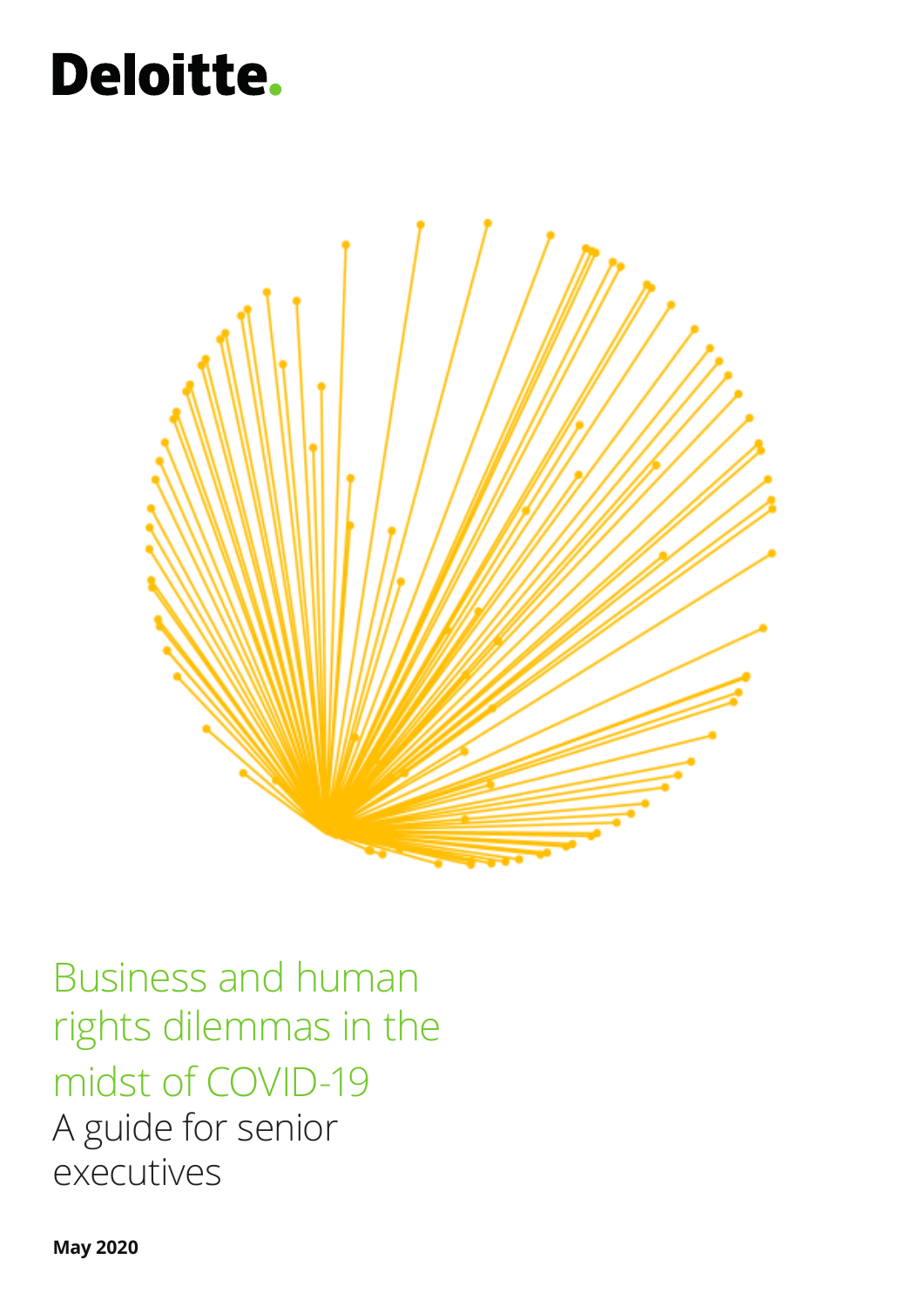# **Deloitte.**



Business and human rights dilemmas in the midst of COVID-19 A guide for senior executives

**May 2020**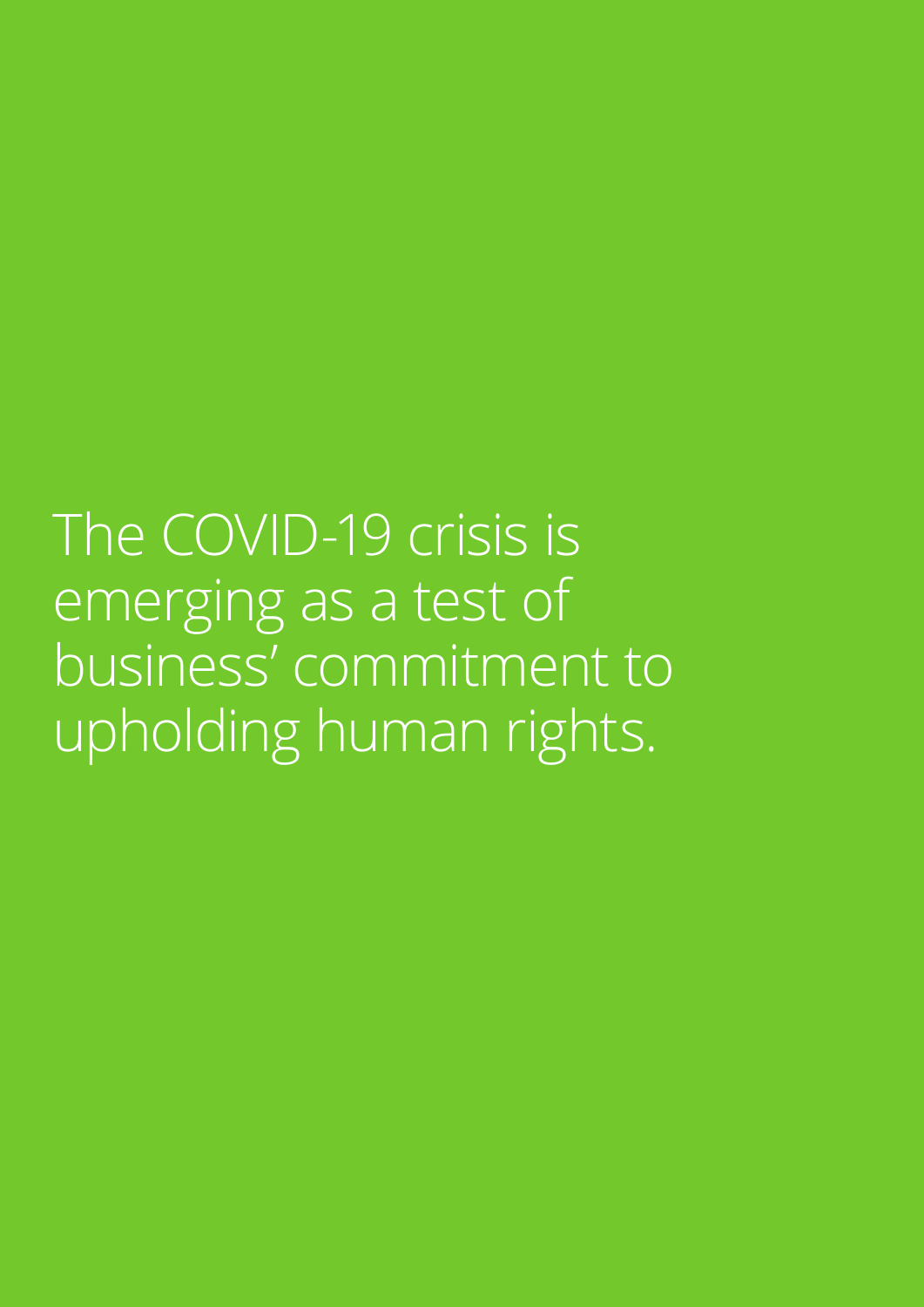The COVID-19 crisis is emerging as a test of business' commitment to upholding human rights.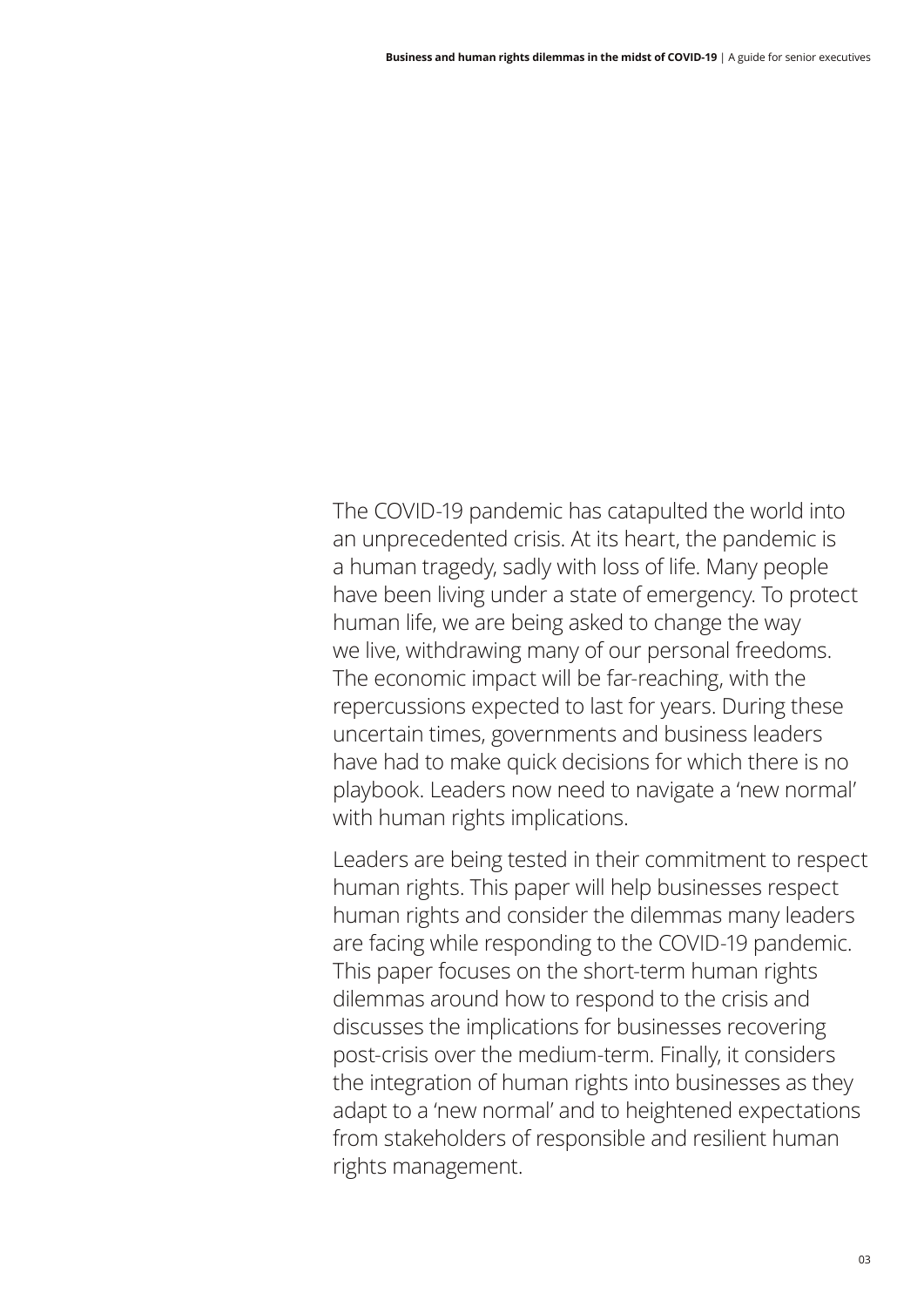The COVID-19 pandemic has catapulted the world into an unprecedented crisis. At its heart, the pandemic is a human tragedy, sadly with loss of life. Many people have been living under a state of emergency. To protect human life, we are being asked to change the way we live, withdrawing many of our personal freedoms. The economic impact will be far-reaching, with the repercussions expected to last for years. During these uncertain times, governments and business leaders have had to make quick decisions for which there is no playbook. Leaders now need to navigate a 'new normal' with human rights implications.

Leaders are being tested in their commitment to respect human rights. This paper will help businesses respect human rights and consider the dilemmas many leaders are facing while responding to the COVID-19 pandemic. This paper focuses on the short-term human rights dilemmas around how to respond to the crisis and discusses the implications for businesses recovering post-crisis over the medium-term. Finally, it considers the integration of human rights into businesses as they adapt to a 'new normal' and to heightened expectations from stakeholders of responsible and resilient human rights management.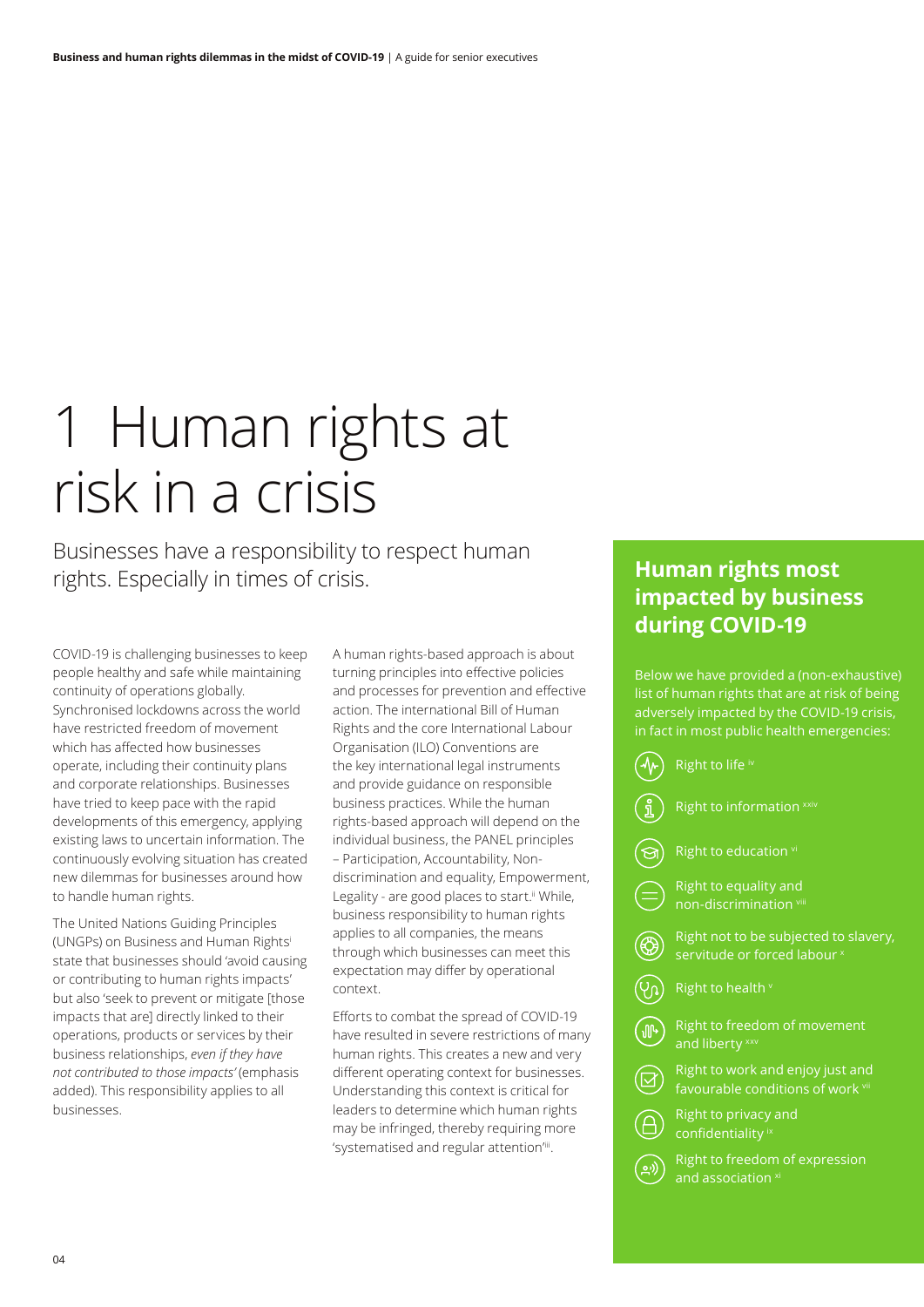# 1 Human rights at risk in a crisis

Businesses have a responsibility to respect human rights. Especially in times of crisis.

COVID-19 is challenging businesses to keep people healthy and safe while maintaining continuity of operations globally. Synchronised lockdowns across the world have restricted freedom of movement which has affected how businesses operate, including their continuity plans and corporate relationships. Businesses have tried to keep pace with the rapid developments of this emergency, applying existing laws to uncertain information. The continuously evolving situation has created new dilemmas for businesses around how to handle human rights.

The United Nations Guiding Principles (UNGPs) on Business and Human Rightsi state that businesses should 'avoid causing or contributing to human rights impacts' but also 'seek to prevent or mitigate [those impacts that are] directly linked to their operations, products or services by their business relationships, *even if they have not contributed to those impacts'* (emphasis added). This responsibility applies to all businesses.

A human rights-based approach is about turning principles into effective policies and processes for prevention and effective action. The international Bill of Human Rights and the core International Labour Organisation (ILO) Conventions are the key international legal instruments and provide guidance on responsible business practices. While the human rights-based approach will depend on the individual business, the PANEL principles – Participation, Accountability, Nondiscrimination and equality, Empowerment, Legality - are good places to start.<sup>ii</sup> While, business responsibility to human rights applies to all companies, the means through which businesses can meet this expectation may differ by operational context.

Efforts to combat the spread of COVID-19 have resulted in severe restrictions of many human rights. This creates a new and very different operating context for businesses. Understanding this context is critical for leaders to determine which human rights may be infringed, thereby requiring more 'systematised and regular attention'iii.

### **Human rights most impacted by business during COVID-19**

Below we have provided a (non-exhaustive) list of human rights that are at risk of being adversely impacted by the COVID-19 crisis, in fact in most public health emergencies:

|                         | Right to life iv                                                      |
|-------------------------|-----------------------------------------------------------------------|
|                         | Right to information xxiv                                             |
|                         | Right to education vi                                                 |
| $=$                     | Right to equality and<br>non-discrimination vill                      |
|                         | Right not to be subjected to slavery,<br>servitude or forced labour × |
| <u>ပြ</u>               | Right to health v                                                     |
| $\sqrt{10}$             | Right to freedom of movement<br>and liberty xxv                       |
|                         | Right to work and enjoy just and<br>favourable conditions of work vii |
|                         | Right to privacy and<br>confidentiality ix                            |
| $\overline{\mathbf{o}}$ | Right to freedom of expression<br>and association <sup>xi</sup>       |
|                         |                                                                       |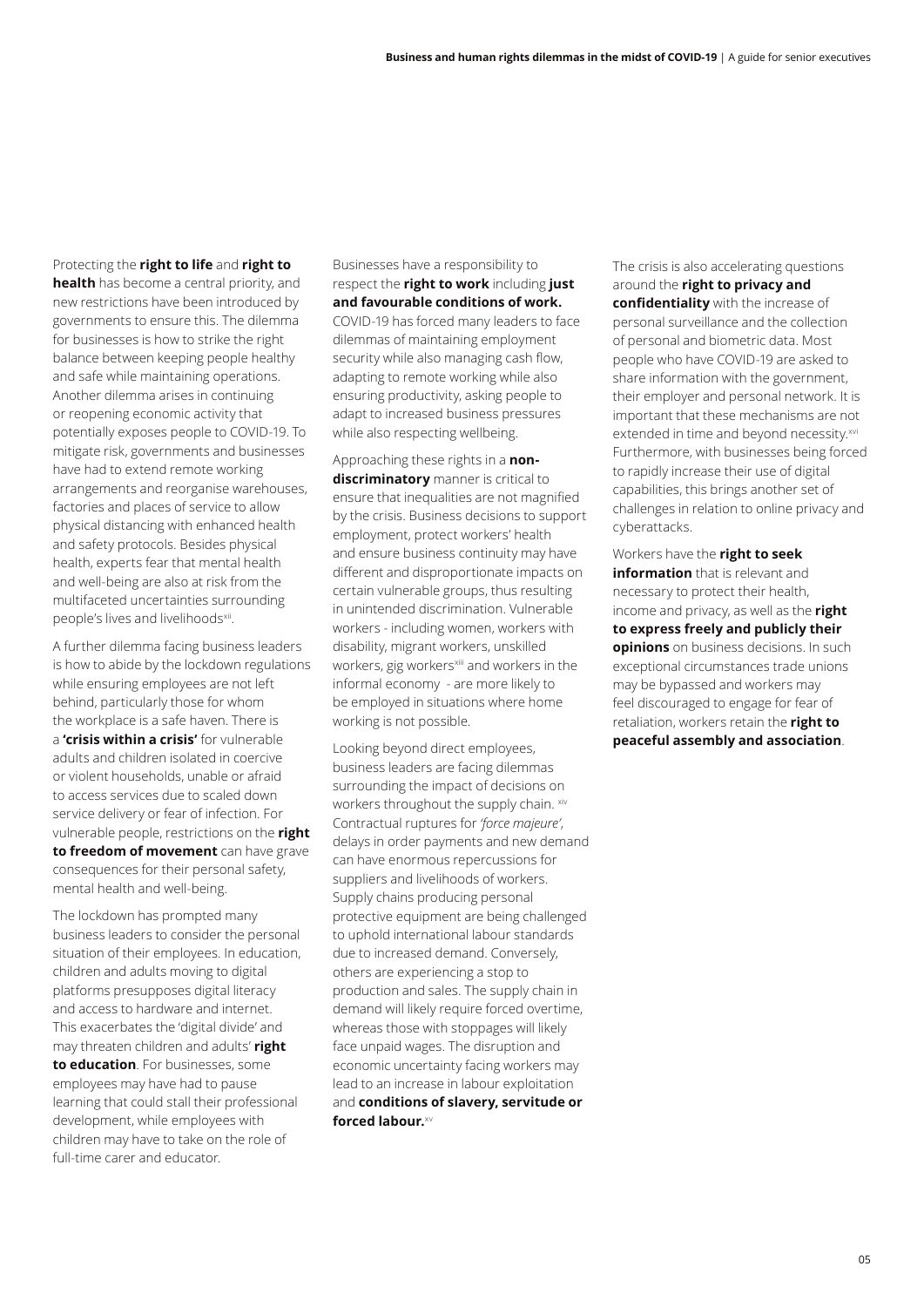Protecting the **right to life** and **right to health** has become a central priority, and new restrictions have been introduced by governments to ensure this. The dilemma for businesses is how to strike the right balance between keeping people healthy and safe while maintaining operations. Another dilemma arises in continuing or reopening economic activity that potentially exposes people to COVID-19. To mitigate risk, governments and businesses have had to extend remote working arrangements and reorganise warehouses, factories and places of service to allow physical distancing with enhanced health and safety protocols. Besides physical health, experts fear that mental health and well-being are also at risk from the multifaceted uncertainties surrounding people's lives and livelihoods<sup>xii</sup>.

A further dilemma facing business leaders is how to abide by the lockdown regulations while ensuring employees are not left behind, particularly those for whom the workplace is a safe haven. There is a **'crisis within a crisis'** for vulnerable adults and children isolated in coercive or violent households, unable or afraid to access services due to scaled down service delivery or fear of infection. For vulnerable people, restrictions on the **right to freedom of movement** can have grave consequences for their personal safety, mental health and well-being.

The lockdown has prompted many business leaders to consider the personal situation of their employees. In education, children and adults moving to digital platforms presupposes digital literacy and access to hardware and internet. This exacerbates the 'digital divide' and may threaten children and adults' **right to education**. For businesses, some employees may have had to pause learning that could stall their professional development, while employees with children may have to take on the role of full-time carer and educator.

Businesses have a responsibility to respect the **right to work** including **just and favourable conditions of work.** COVID-19 has forced many leaders to face

dilemmas of maintaining employment security while also managing cash flow, adapting to remote working while also ensuring productivity, asking people to adapt to increased business pressures while also respecting wellbeing.

Approaching these rights in a **nondiscriminatory** manner is critical to ensure that inequalities are not magnified by the crisis. Business decisions to support employment, protect workers' health and ensure business continuity may have different and disproportionate impacts on certain vulnerable groups, thus resulting in unintended discrimination. Vulnerable workers - including women, workers with disability, migrant workers, unskilled workers, gig workersxiii and workers in the informal economy - are more likely to be employed in situations where home working is not possible.

Looking beyond direct employees, business leaders are facing dilemmas surrounding the impact of decisions on workers throughout the supply chain. xiv Contractual ruptures for *'force majeure'*, delays in order payments and new demand can have enormous repercussions for suppliers and livelihoods of workers. Supply chains producing personal protective equipment are being challenged to uphold international labour standards due to increased demand. Conversely, others are experiencing a stop to production and sales. The supply chain in demand will likely require forced overtime, whereas those with stoppages will likely face unpaid wages. The disruption and economic uncertainty facing workers may lead to an increase in labour exploitation and **conditions of slavery, servitude or forced labour.**xv

The crisis is also accelerating questions around the **right to privacy and confidentiality** with the increase of personal surveillance and the collection of personal and biometric data. Most people who have COVID-19 are asked to share information with the government, their employer and personal network. It is important that these mechanisms are not extended in time and beyond necessity.<sup>xvi</sup> Furthermore, with businesses being forced to rapidly increase their use of digital capabilities, this brings another set of challenges in relation to online privacy and cyberattacks.

Workers have the **right to seek information** that is relevant and necessary to protect their health, income and privacy, as well as the **right to express freely and publicly their opinions** on business decisions. In such exceptional circumstances trade unions may be bypassed and workers may feel discouraged to engage for fear of retaliation, workers retain the **right to peaceful assembly and association**.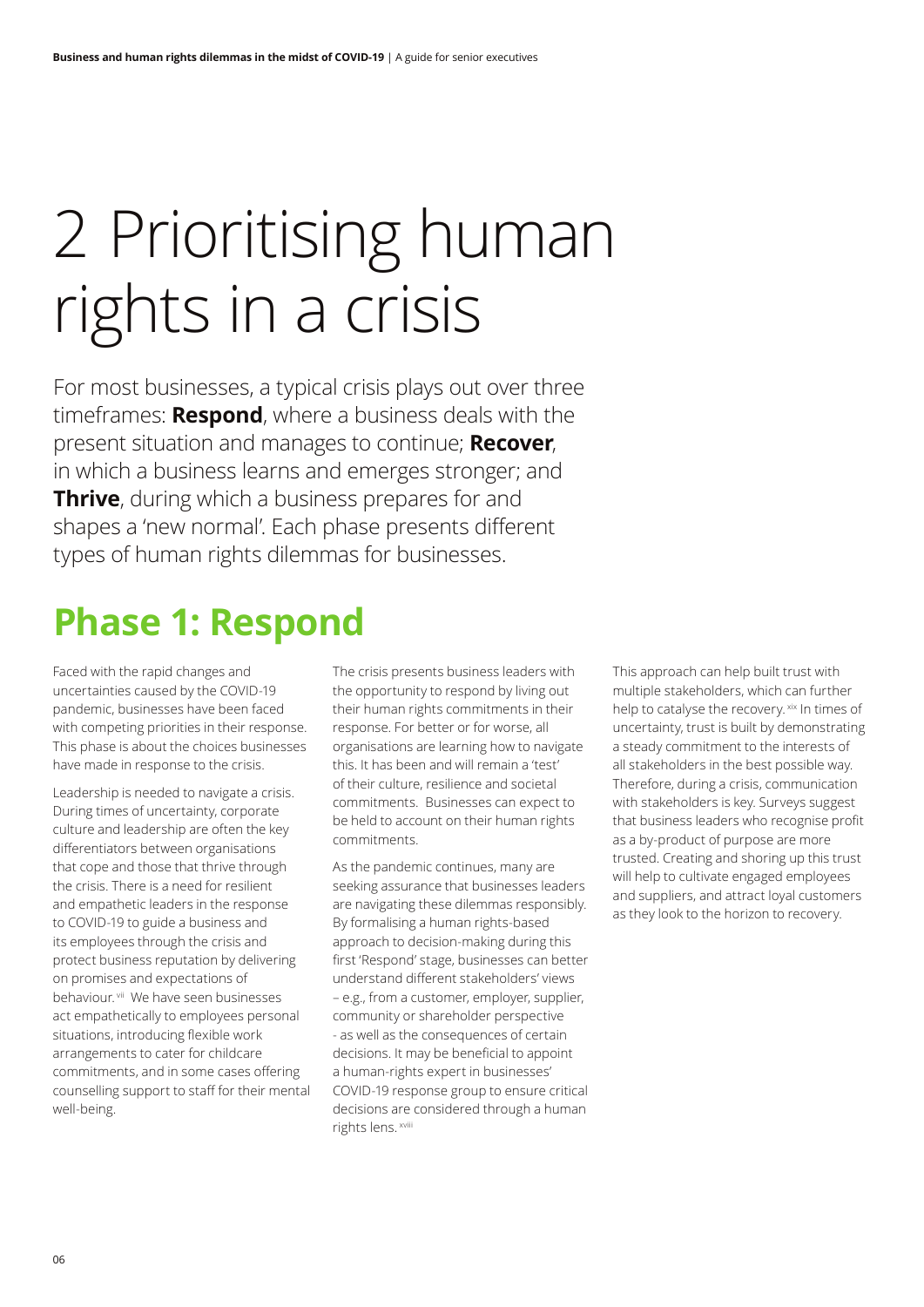# 2 Prioritising human rights in a crisis

For most businesses, a typical crisis plays out over three timeframes: **Respond**, where a business deals with the present situation and manages to continue; **Recover**, in which a business learns and emerges stronger; and **Thrive**, during which a business prepares for and shapes a 'new normal'. Each phase presents different types of human rights dilemmas for businesses.

## **Phase 1: Respond**

Faced with the rapid changes and uncertainties caused by the COVID-19 pandemic, businesses have been faced with competing priorities in their response. This phase is about the choices businesses have made in response to the crisis.

Leadership is needed to navigate a crisis. During times of uncertainty, corporate culture and leadership are often the key differentiators between organisations that cope and those that thrive through the crisis. There is a need for resilient and empathetic leaders in the response to COVID-19 to guide a business and its employees through the crisis and protect business reputation by delivering on promises and expectations of behaviour. vii We have seen businesses act empathetically to employees personal situations, introducing flexible work arrangements to cater for childcare commitments, and in some cases offering counselling support to staff for their mental well-being.

The crisis presents business leaders with the opportunity to respond by living out their human rights commitments in their response. For better or for worse, all organisations are learning how to navigate this. It has been and will remain a 'test' of their culture, resilience and societal commitments. Businesses can expect to be held to account on their human rights commitments.

As the pandemic continues, many are seeking assurance that businesses leaders are navigating these dilemmas responsibly. By formalising a human rights-based approach to decision-making during this first 'Respond' stage, businesses can better understand different stakeholders' views – e.g., from a customer, employer, supplier, community or shareholder perspective - as well as the consequences of certain decisions. It may be beneficial to appoint a human-rights expert in businesses' COVID-19 response group to ensure critical decisions are considered through a human rights lens. xviii

This approach can help built trust with multiple stakeholders, which can further help to catalyse the recovery. xix In times of uncertainty, trust is built by demonstrating a steady commitment to the interests of all stakeholders in the best possible way. Therefore, during a crisis, communication with stakeholders is key. Surveys suggest that business leaders who recognise profit as a by-product of purpose are more trusted. Creating and shoring up this trust will help to cultivate engaged employees and suppliers, and attract loyal customers as they look to the horizon to recovery.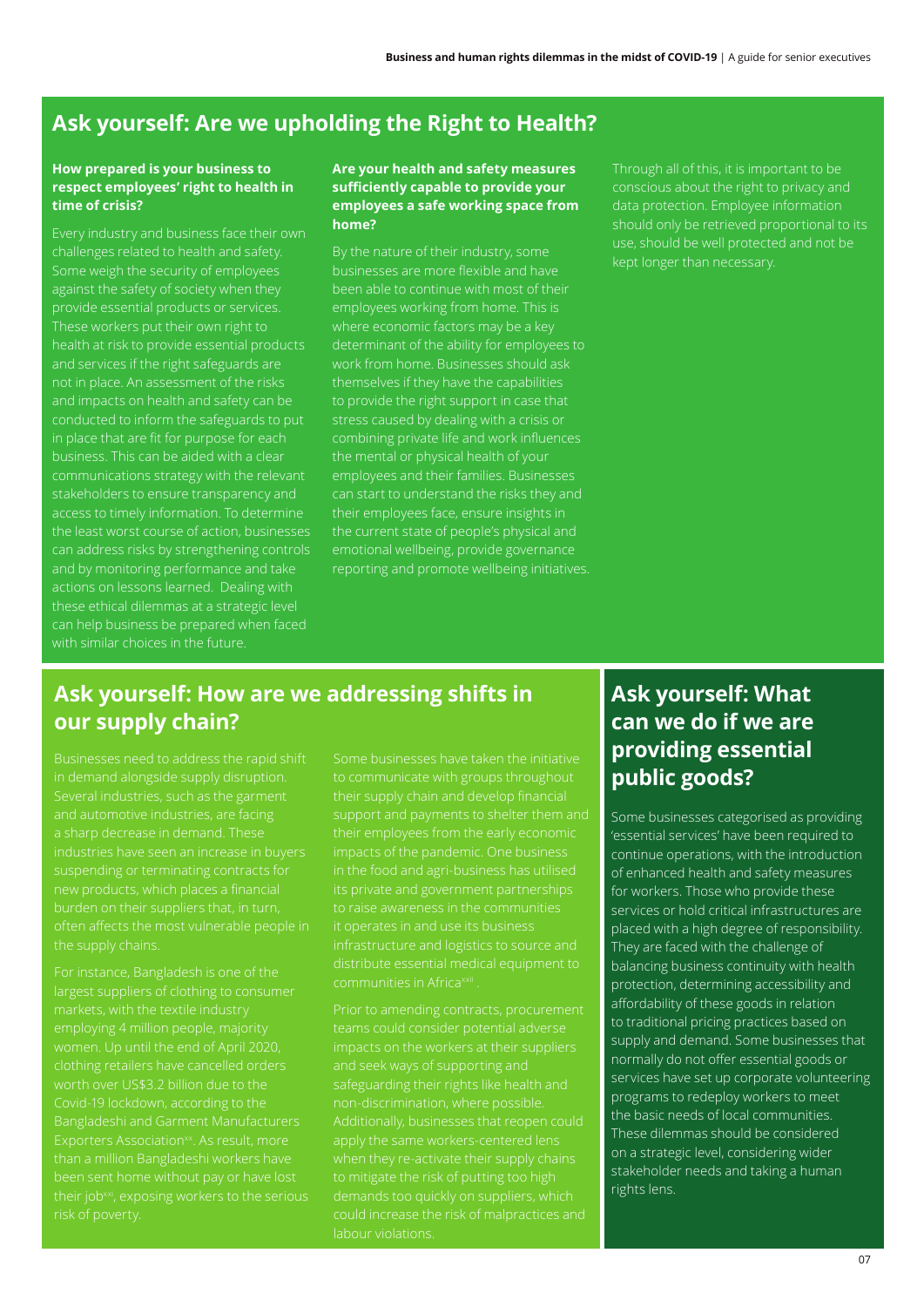### **Ask yourself: Are we upholding the Right to Health?**

#### **How prepared is your business to respect employees' right to health in time of crisis?**

Every industry and business face their own challenges related to health and safety. Some weigh the security of employees against the safety of society when they provide essential products or services. These workers put their own right to health at risk to provide essential products and services if the right safeguards are and impacts on health and safety can be conducted to inform the safeguards to put in place that are fit for purpose for each business. This can be aided with a clear communications strategy with the relevant the least worst course of action, businesses and by monitoring performance and take actions on lessons learned. Dealing with these ethical dilemmas at a strategic level can help business be prepared when faced with similar choices in the future.

#### **Are your health and safety measures sufficiently capable to provide your employees a safe working space from home?**

By the nature of their industry, some businesses are more flexible and have been able to continue with most of their employees working from home. This is where economic factors may be a key determinant of the ability for employees to themselves if they have the capabilities to provide the right support in case that stress caused by dealing with a crisis or combining private life and work influences the mental or physical health of your employees and their families. Businesses their employees face, ensure insights in the current state of people's physical and emotional wellbeing, provide governance reporting and promote wellbeing initiatives. Through all of this, it is important to be conscious about the right to privacy and data protection. Employee information kept longer than necessary.

### **Ask yourself: How are we addressing shifts in our supply chain?**

Businesses need to address the rapid shift and automotive industries, are facing a sharp decrease in demand. These the supply chains.

For instance, Bangladesh is one of the clothing retailers have cancelled orders worth over US\$3.2 billion due to the

their supply chain and develop financial support and payments to shelter them and their employees from the early economic infrastructure and logistics to source and distribute essential medical equipment to

safeguarding their rights like health and non-discrimination, where possible. labour violations.

### **Ask yourself: What can we do if we are providing essential public goods?**

Some businesses categorised as providing 'essential services' have been required to continue operations, with the introduction of enhanced health and safety measures for workers. Those who provide these services or hold critical infrastructures are placed with a high degree of responsibility. They are faced with the challenge of balancing business continuity with health protection, determining accessibility and affordability of these goods in relation to traditional pricing practices based on supply and demand. Some businesses that normally do not offer essential goods or services have set up corporate volunteering programs to redeploy workers to meet the basic needs of local communities. These dilemmas should be considered on a strategic level, considering wider stakeholder needs and taking a human rights lens.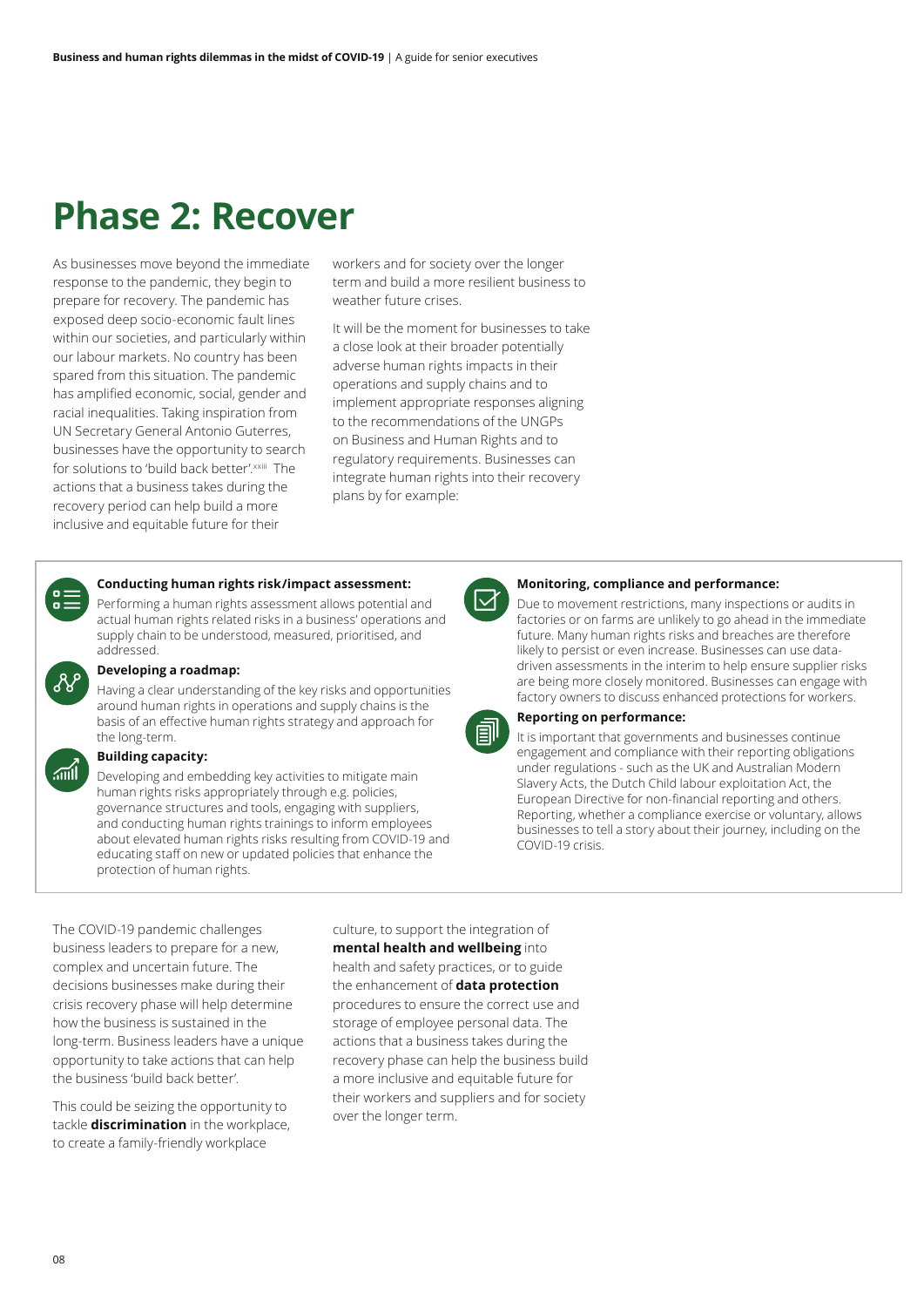### **Phase 2: Recover**

As businesses move beyond the immediate response to the pandemic, they begin to prepare for recovery. The pandemic has exposed deep socio-economic fault lines within our societies, and particularly within our labour markets. No country has been spared from this situation. The pandemic has amplified economic, social, gender and racial inequalities. Taking inspiration from UN Secretary General Antonio Guterres, businesses have the opportunity to search for solutions to 'build back better'. xxiii The actions that a business takes during the recovery period can help build a more inclusive and equitable future for their

workers and for society over the longer term and build a more resilient business to weather future crises.

It will be the moment for businesses to take a close look at their broader potentially adverse human rights impacts in their operations and supply chains and to implement appropriate responses aligning to the recommendations of the UNGPs on Business and Human Rights and to regulatory requirements. Businesses can integrate human rights into their recovery plans by for example:



#### **Conducting human rights risk/impact assessment:**

Performing a human rights assessment allows potential and actual human rights related risks in a business' operations and supply chain to be understood, measured, prioritised, and addressed.



#### **Developing a roadmap:**

Having a clear understanding of the key risks and opportunities around human rights in operations and supply chains is the basis of an effective human rights strategy and approach for the long-term.

#### **Building capacity:**  $\sqrt{m}$

Developing and embedding key activities to mitigate main human rights risks appropriately through e.g. policies, governance structures and tools, engaging with suppliers, and conducting human rights trainings to inform employees about elevated human rights risks resulting from COVID-19 and educating staff on new or updated policies that enhance the protection of human rights.

#### **Monitoring, compliance and performance:**

Due to movement restrictions, many inspections or audits in factories or on farms are unlikely to go ahead in the immediate future. Many human rights risks and breaches are therefore likely to persist or even increase. Businesses can use datadriven assessments in the interim to help ensure supplier risks are being more closely monitored. Businesses can engage with factory owners to discuss enhanced protections for workers.



#### **Reporting on performance:**

It is important that governments and businesses continue engagement and compliance with their reporting obligations under regulations - such as the UK and Australian Modern Slavery Acts, the Dutch Child labour exploitation Act, the European Directive for non-financial reporting and others. Reporting, whether a compliance exercise or voluntary, allows businesses to tell a story about their journey, including on the COVID-19 crisis.

The COVID-19 pandemic challenges business leaders to prepare for a new, complex and uncertain future. The decisions businesses make during their crisis recovery phase will help determine how the business is sustained in the long-term. Business leaders have a unique opportunity to take actions that can help the business 'build back better'.

This could be seizing the opportunity to tackle **discrimination** in the workplace, to create a family-friendly workplace

culture, to support the integration of **mental health and wellbeing** into health and safety practices, or to guide the enhancement of **data protection** procedures to ensure the correct use and storage of employee personal data. The actions that a business takes during the recovery phase can help the business build a more inclusive and equitable future for their workers and suppliers and for society over the longer term.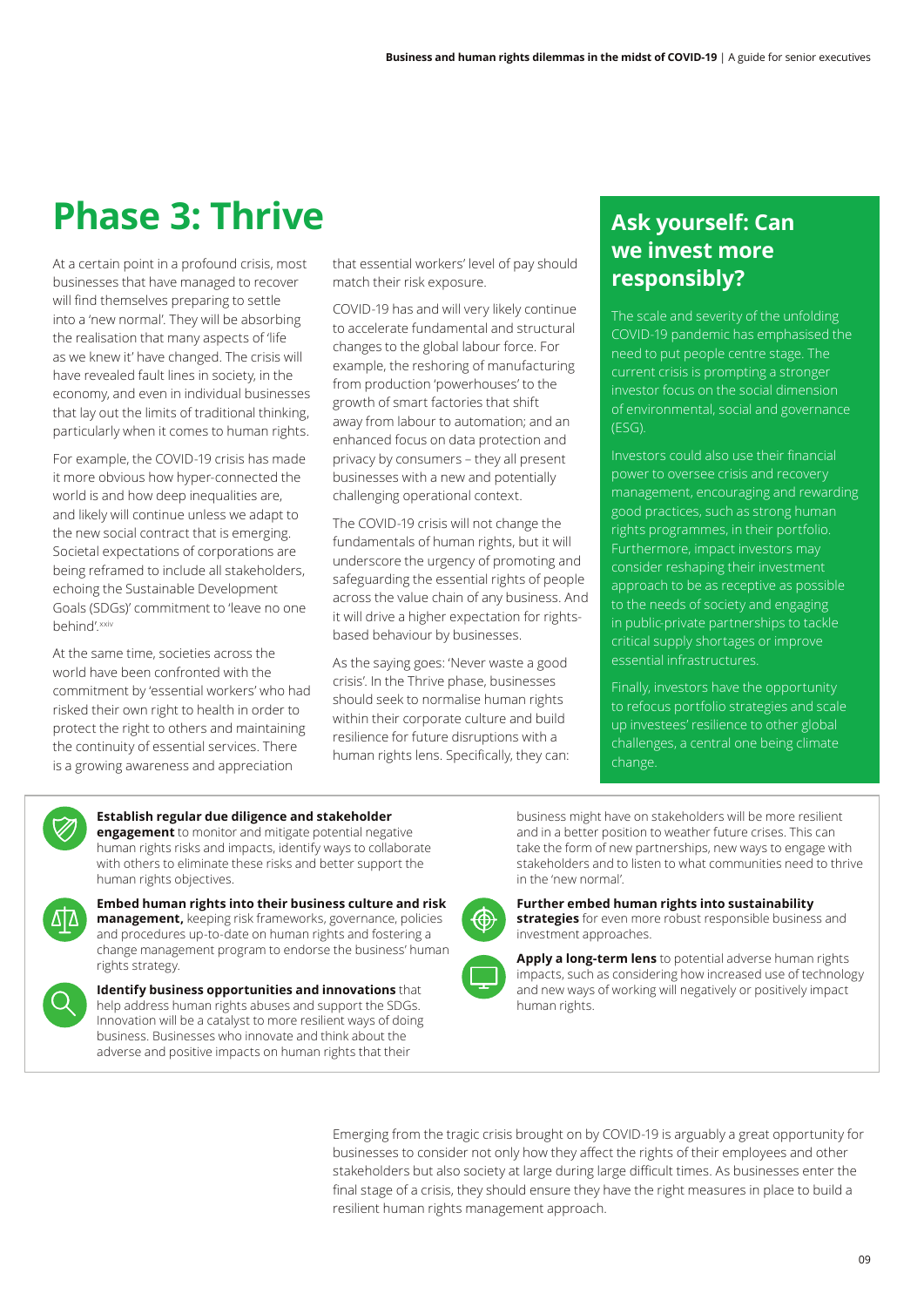### **Phase 3: Thrive**

At a certain point in a profound crisis, most businesses that have managed to recover will find themselves preparing to settle into a 'new normal'. They will be absorbing the realisation that many aspects of 'life as we knew it' have changed. The crisis will have revealed fault lines in society, in the economy, and even in individual businesses that lay out the limits of traditional thinking, particularly when it comes to human rights.

For example, the COVID-19 crisis has made it more obvious how hyper-connected the world is and how deep inequalities are, and likely will continue unless we adapt to the new social contract that is emerging. Societal expectations of corporations are being reframed to include all stakeholders, echoing the Sustainable Development Goals (SDGs)' commitment to 'leave no one behind' xxiv

At the same time, societies across the world have been confronted with the commitment by 'essential workers' who had risked their own right to health in order to protect the right to others and maintaining the continuity of essential services. There is a growing awareness and appreciation

that essential workers' level of pay should match their risk exposure.

COVID-19 has and will very likely continue to accelerate fundamental and structural changes to the global labour force. For example, the reshoring of manufacturing from production 'powerhouses' to the growth of smart factories that shift away from labour to automation; and an enhanced focus on data protection and privacy by consumers – they all present businesses with a new and potentially challenging operational context.

The COVID-19 crisis will not change the fundamentals of human rights, but it will underscore the urgency of promoting and safeguarding the essential rights of people across the value chain of any business. And it will drive a higher expectation for rightsbased behaviour by businesses.

As the saying goes: 'Never waste a good crisis'. In the Thrive phase, businesses should seek to normalise human rights within their corporate culture and build resilience for future disruptions with a human rights lens. Specifically, they can:

### **Ask yourself: Can we invest more responsibly?**

The scale and severity of the unfolding COVID-19 pandemic has emphasised the need to put people centre stage. The current crisis is prompting a stronger investor focus on the social dimension of environmental, social and governance (ESG).

Investors could also use their financial power to oversee crisis and recovery management, encouraging and rewarding good practices, such as strong human rights programmes, in their portfolio. Furthermore, impact investors may consider reshaping their investment approach to be as receptive as possible to the needs of society and engaging in public-private partnerships to tackle critical supply shortages or improve essential infrastructures.

Finally, investors have the opportunity to refocus portfolio strategies and scale up investees' resilience to other global challenges, a central one being climate change.



#### **Establish regular due diligence and stakeholder engagement** to monitor and mitigate potential negative human rights risks and impacts, identify ways to collaborate with others to eliminate these risks and better support the human rights objectives.



**Embed human rights into their business culture and risk management,** keeping risk frameworks, governance, policies and procedures up-to-date on human rights and fostering a change management program to endorse the business' human rights strategy.

**Identify business opportunities and innovations** that help address human rights abuses and support the SDGs. Innovation will be a catalyst to more resilient ways of doing business. Businesses who innovate and think about the adverse and positive impacts on human rights that their

business might have on stakeholders will be more resilient and in a better position to weather future crises. This can take the form of new partnerships, new ways to engage with stakeholders and to listen to what communities need to thrive in the 'new normal'.



**Further embed human rights into sustainability strategies** for even more robust responsible business and investment approaches.



**Apply a long-term lens** to potential adverse human rights impacts, such as considering how increased use of technology and new ways of working will negatively or positively impact human rights.

Emerging from the tragic crisis brought on by COVID-19 is arguably a great opportunity for businesses to consider not only how they affect the rights of their employees and other stakeholders but also society at large during large difficult times. As businesses enter the final stage of a crisis, they should ensure they have the right measures in place to build a resilient human rights management approach.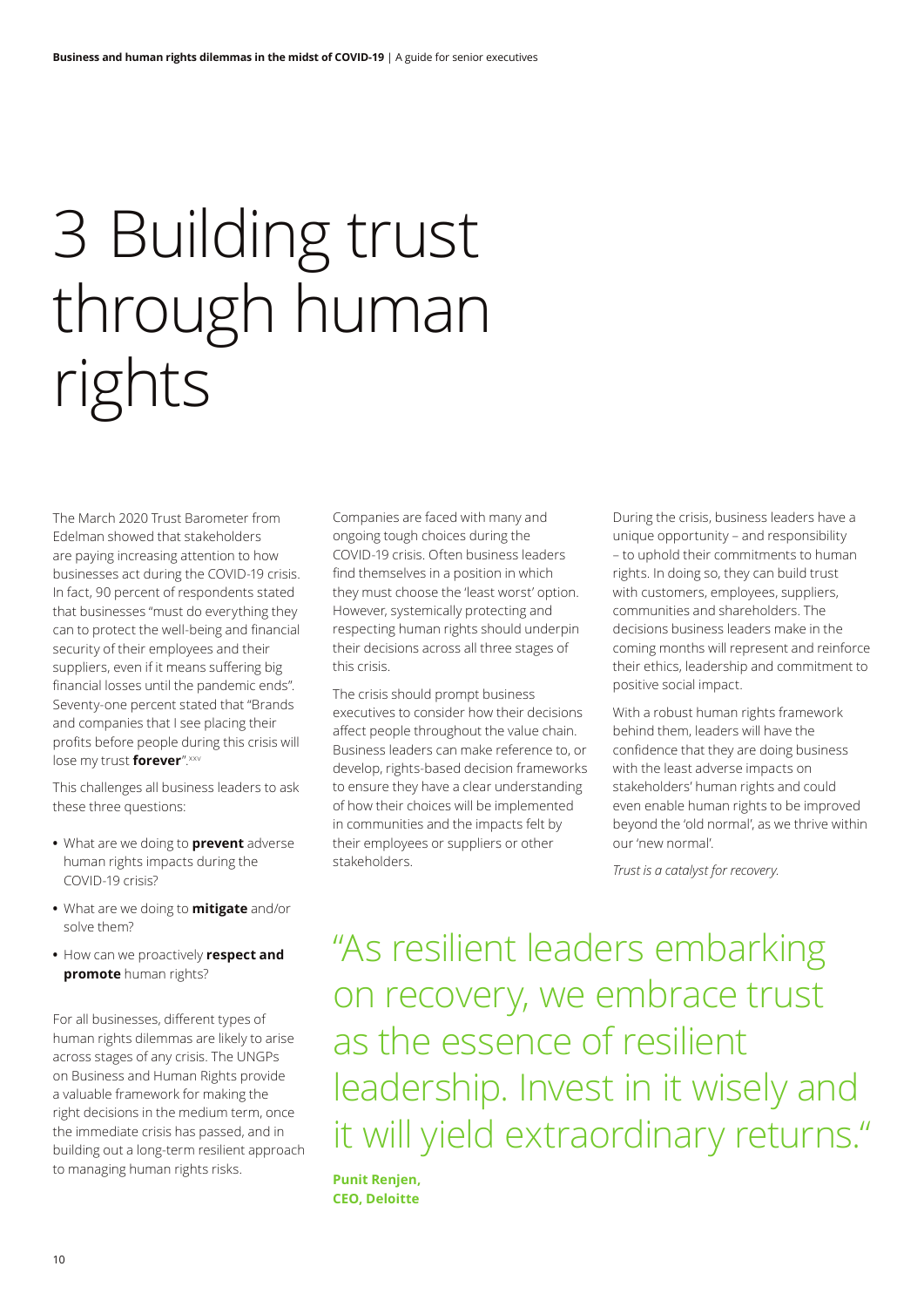# 3 Building trust through human rights

The March 2020 Trust Barometer from Edelman showed that stakeholders are paying increasing attention to how businesses act during the COVID-19 crisis. In fact, 90 percent of respondents stated that businesses "must do everything they can to protect the well-being and financial security of their employees and their suppliers, even if it means suffering big financial losses until the pandemic ends". Seventy-one percent stated that "Brands and companies that I see placing their profits before people during this crisis will lose my trust **forever**".xxv

This challenges all business leaders to ask these three questions:

- **•** What are we doing to **prevent** adverse human rights impacts during the COVID-19 crisis?
- **•** What are we doing to **mitigate** and/or solve them?
- **•** How can we proactively **respect and promote** human rights?

For all businesses, different types of human rights dilemmas are likely to arise across stages of any crisis. The UNGPs on Business and Human Rights provide a valuable framework for making the right decisions in the medium term, once the immediate crisis has passed, and in building out a long-term resilient approach to managing human rights risks.

Companies are faced with many and ongoing tough choices during the COVID-19 crisis. Often business leaders find themselves in a position in which they must choose the 'least worst' option. However, systemically protecting and respecting human rights should underpin their decisions across all three stages of this crisis.

The crisis should prompt business executives to consider how their decisions affect people throughout the value chain. Business leaders can make reference to, or develop, rights-based decision frameworks to ensure they have a clear understanding of how their choices will be implemented in communities and the impacts felt by their employees or suppliers or other stakeholders.

During the crisis, business leaders have a unique opportunity – and responsibility – to uphold their commitments to human rights. In doing so, they can build trust with customers, employees, suppliers, communities and shareholders. The decisions business leaders make in the coming months will represent and reinforce their ethics, leadership and commitment to positive social impact.

With a robust human rights framework behind them, leaders will have the confidence that they are doing business with the least adverse impacts on stakeholders' human rights and could even enable human rights to be improved beyond the 'old normal', as we thrive within our 'new normal'.

*Trust is a catalyst for recovery.* 

"As resilient leaders embarking on recovery, we embrace trust as the essence of resilient leadership. Invest in it wisely and it will yield extraordinary returns."

**Punit Renjen, CEO, Deloitte**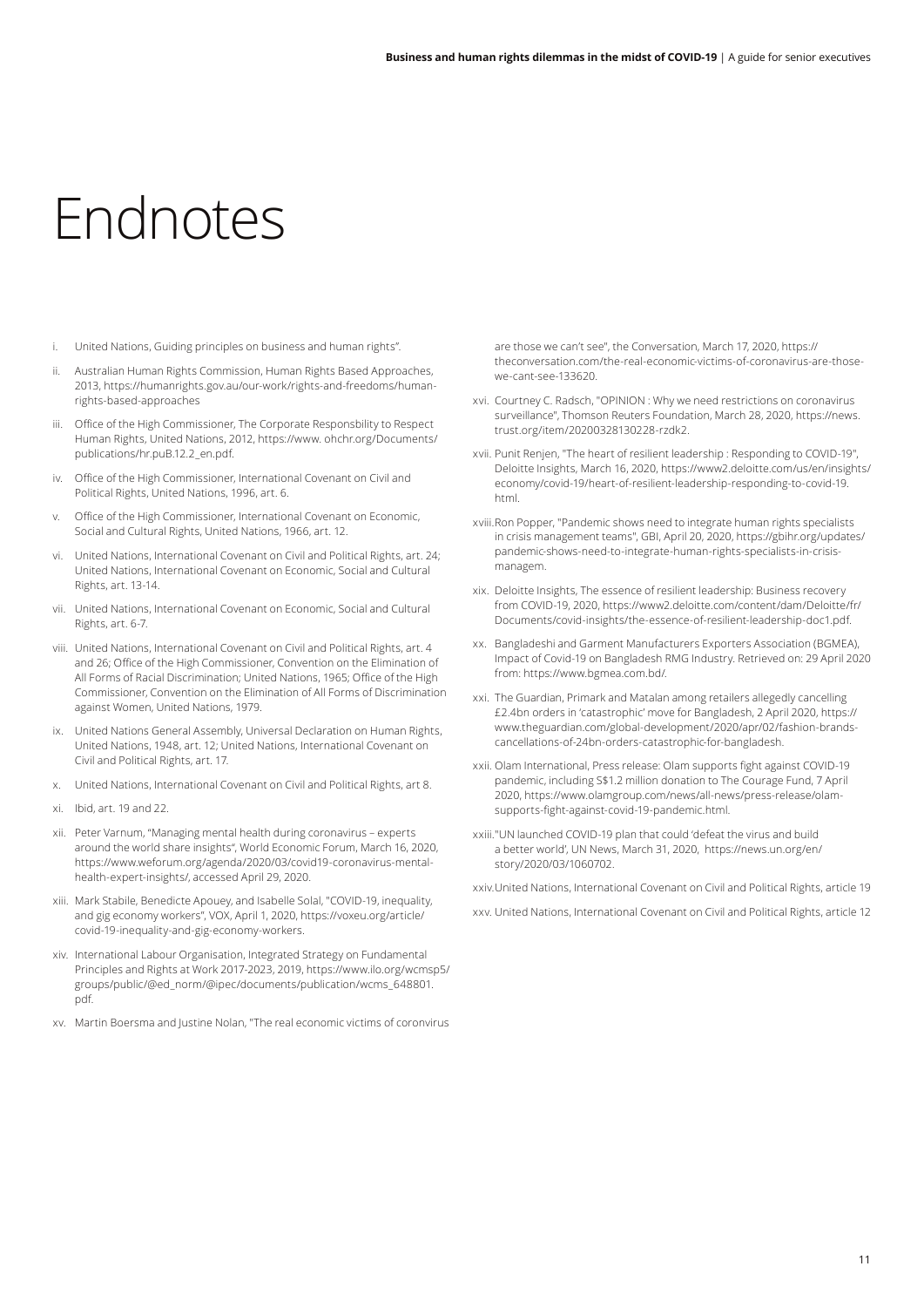## Endnotes

- i. United Nations, Guiding principles on business and human rights".
- ii. Australian Human Rights Commission, Human Rights Based Approaches, 2013, https://humanrights.gov.au/our-work/rights-and-freedoms/humanrights-based-approaches
- iii. Office of the High Commissioner, The Corporate Responsbility to Respect Human Rights, United Nations, 2012, https://www. ohchr.org/Documents/ publications/hr.puB.12.2\_en.pdf.
- Office of the High Commissioner, International Covenant on Civil and Political Rights, United Nations, 1996, art. 6.
- Office of the High Commissioner, International Covenant on Economic, Social and Cultural Rights, United Nations, 1966, art. 12.
- vi. United Nations, International Covenant on Civil and Political Rights, art. 24; United Nations, International Covenant on Economic, Social and Cultural Rights, art. 13-14.
- vii. United Nations, International Covenant on Economic, Social and Cultural Rights, art. 6-7.
- viii. United Nations, International Covenant on Civil and Political Rights, art. 4 and 26; Office of the High Commissioner, Convention on the Elimination of All Forms of Racial Discrimination; United Nations, 1965; Office of the High Commissioner, Convention on the Elimination of All Forms of Discrimination against Women, United Nations, 1979.
- ix. United Nations General Assembly, Universal Declaration on Human Rights, United Nations, 1948, art. 12; United Nations, International Covenant on Civil and Political Rights, art. 17.
- x. United Nations, International Covenant on Civil and Political Rights, art 8.
- xi. Ibid, art. 19 and 22.
- xii. Peter Varnum, "Managing mental health during coronavirus experts around the world share insights", World Economic Forum, March 16, 2020, https://www.weforum.org/agenda/2020/03/covid19-coronavirus-mentalhealth-expert-insights/, accessed April 29, 2020.
- xiii. Mark Stabile, Benedicte Apouey, and Isabelle Solal, "COVID-19, inequality, and gig economy workers", VOX, April 1, 2020, https://voxeu.org/article/ covid-19-inequality-and-gig-economy-workers.
- xiv. International Labour Organisation, Integrated Strategy on Fundamental Principles and Rights at Work 2017-2023, 2019, https://www.ilo.org/wcmsp5/ groups/public/@ed\_norm/@ipec/documents/publication/wcms\_648801. pdf.
- xv. Martin Boersma and Justine Nolan, "The real economic victims of coronvirus

are those we can't see", the Conversation, March 17, 2020, https:// theconversation.com/the-real-economic-victims-of-coronavirus-are-thosewe-cant-see-133620.

- xvi. Courtney C. Radsch, "OPINION : Why we need restrictions on coronavirus surveillance", Thomson Reuters Foundation, March 28, 2020, https://news. trust.org/item/20200328130228-rzdk2.
- xvii. Punit Renjen, "The heart of resilient leadership : Responding to COVID-19", Deloitte Insights, March 16, 2020, https://www2.deloitte.com/us/en/insights/ economy/covid-19/heart-of-resilient-leadership-responding-to-covid-19. html.
- xviii.Ron Popper, "Pandemic shows need to integrate human rights specialists in crisis management teams", GBI, April 20, 2020, https://gbihr.org/updates/ pandemic-shows-need-to-integrate-human-rights-specialists-in-crisismanagem.
- xix. Deloitte Insights, The essence of resilient leadership: Business recovery from COVID-19, 2020, https://www2.deloitte.com/content/dam/Deloitte/fr/ Documents/covid-insights/the-essence-of-resilient-leadership-doc1.pdf.
- xx. Bangladeshi and Garment Manufacturers Exporters Association (BGMEA), Impact of Covid-19 on Bangladesh RMG Industry. Retrieved on: 29 April 2020 from: https://www.bgmea.com.bd/.
- xxi. The Guardian, Primark and Matalan among retailers allegedly cancelling £2.4bn orders in 'catastrophic' move for Bangladesh, 2 April 2020, https:// www.theguardian.com/global-development/2020/apr/02/fashion-brandscancellations-of-24bn-orders-catastrophic-for-bangladesh.
- xxii. Olam International, Press release: Olam supports fight against COVID-19 pandemic, including S\$1.2 million donation to The Courage Fund, 7 April 2020, https://www.olamgroup.com/news/all-news/press-release/olamsupports-fight-against-covid-19-pandemic.html.
- xxiii."UN launched COVID-19 plan that could 'defeat the virus and build a better world', UN News, March 31, 2020, https://news.un.org/en/ story/2020/03/1060702.

xxiv.United Nations, International Covenant on Civil and Political Rights, article 19

xxv. United Nations, International Covenant on Civil and Political Rights, article 12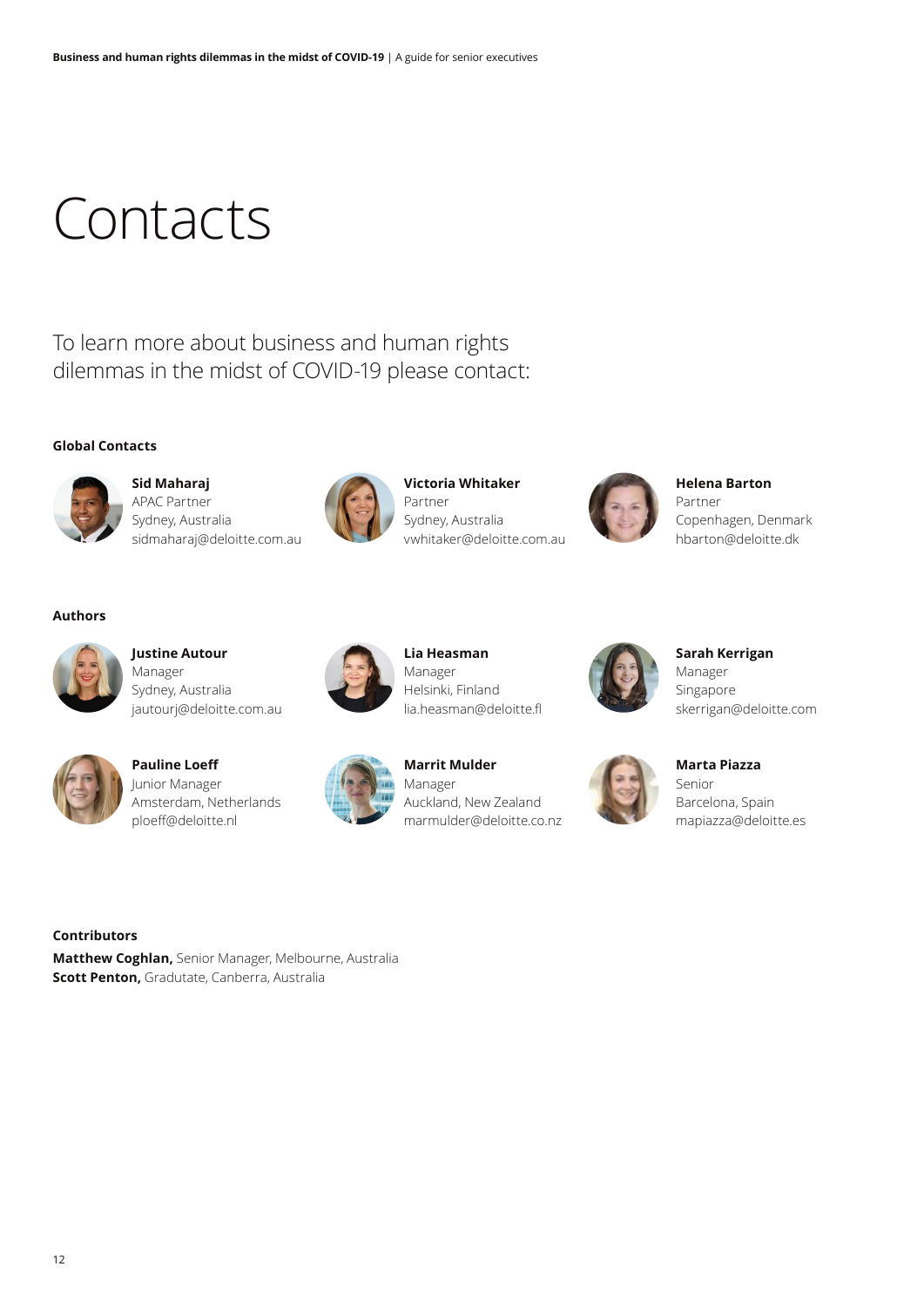# **Contacts**

To learn more about business and human rights dilemmas in the midst of COVID-19 please contact:

#### **Global Contacts**



**Sid Maharaj** APAC Partner Sydney, Australia sidmaharaj@deloitte.com.au



**Victoria Whitaker** Partner Sydney, Australia vwhitaker@deloitte.com.au



**Helena Barton** Partner Copenhagen, Denmark hbarton@deloitte.dk

#### **Authors**



**Justine Autour** Manager Sydney, Australia jautourj@deloitte.com.au



**Pauline Loeff** Junior Manager Amsterdam, Netherlands ploeff@deloitte.nl



**Marrit Mulder** Manager Auckland, New Zealand marmulder@deloitte.co.nz

**Lia Heasman** Manager Helsinki, Finland lia.heasman@deloitte.fl



**Sarah Kerrigan** Manager Singapore skerrigan@deloitte.com



**Marta Piazza** Senior Barcelona, Spain mapiazza@deloitte.es

#### **Contributors**

**Matthew Coghlan,** Senior Manager, Melbourne, Australia **Scott Penton,** Gradutate, Canberra, Australia